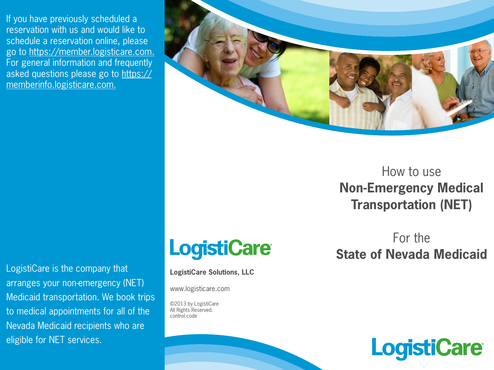If you have previously scheduled a reservation with us and would like to schedule a reservation online, please go to https://member.logisticare.com. For general information and frequently asked questions please go to https:// memberinfo.logisticare.com.



How to use **Non-Emergency Medical Transportation (NET)**

LogistiCare is the company that arranges your non-emergency (NET) Medicaid transportation. We book trips to medical appointments for all of the Nevada Medicaid recipients who are eligible for NET services.



**LogistiCare Solutions, LLC**

www.logisticare.com

©2013 by LogistiCare All Rights Reserved. control code

For the **State of Nevada Medicaid**